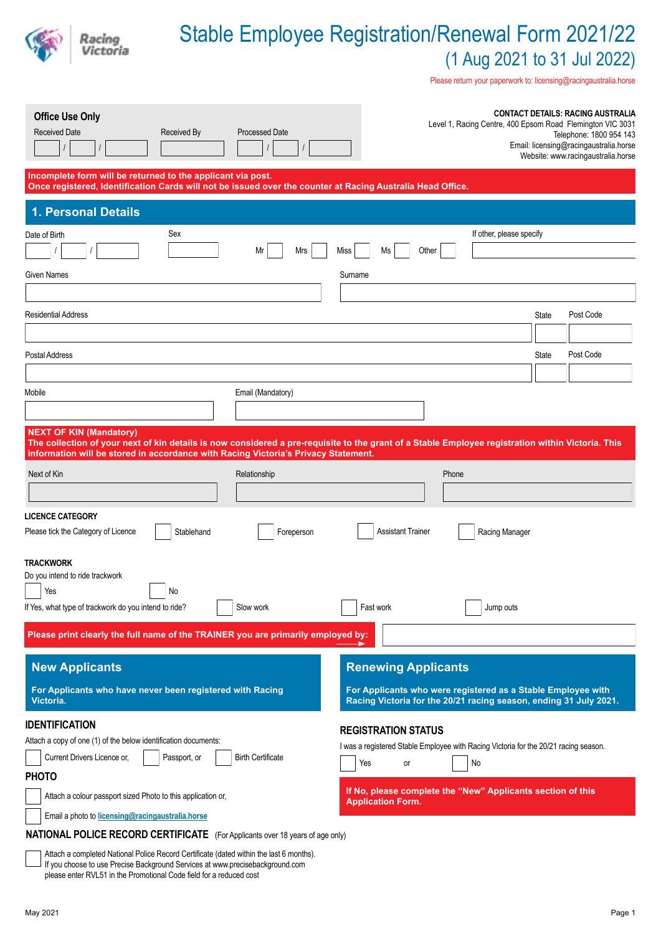

Please return your paperwork to: licensing@racingaustralia.horse

| <b>Office Use Only</b><br><b>Processed Date</b><br><b>Received Date</b><br><b>Received By</b>                                                                                                                                                                             | <b>CONTACT DETAILS: RACING AUSTRALIA</b><br>Level 1, Racing Centre, 400 Epsom Road Flemington VIC 3031<br>Telephone: 1800 954 143<br>Email: licensing@racingaustralia.horse<br>Website: www.racingaustralia.horse |  |  |  |  |
|---------------------------------------------------------------------------------------------------------------------------------------------------------------------------------------------------------------------------------------------------------------------------|-------------------------------------------------------------------------------------------------------------------------------------------------------------------------------------------------------------------|--|--|--|--|
| Incomplete form will be returned to the applicant via post.<br>Once registered, Identification Cards will not be issued over the counter at Racing Australia Head Office.                                                                                                 |                                                                                                                                                                                                                   |  |  |  |  |
| 1. Personal Details                                                                                                                                                                                                                                                       |                                                                                                                                                                                                                   |  |  |  |  |
| Sex<br>Date of Birth<br>Mr<br>Mrs<br>Given Names                                                                                                                                                                                                                          | If other, please specify<br>Other<br>Miss<br>Ms<br>Surname                                                                                                                                                        |  |  |  |  |
| Residential Address                                                                                                                                                                                                                                                       | Post Code<br>State                                                                                                                                                                                                |  |  |  |  |
| Postal Address                                                                                                                                                                                                                                                            | Post Code<br>State                                                                                                                                                                                                |  |  |  |  |
| Email (Mandatory)<br>Mobile                                                                                                                                                                                                                                               |                                                                                                                                                                                                                   |  |  |  |  |
| <b>NEXT OF KIN (Mandatory)</b><br>The collection of your next of kin details is now considered a pre-requisite to the grant of a Stable Employee registration within Victoria. This<br>information will be stored in accordance with Racing Victoria's Privacy Statement. |                                                                                                                                                                                                                   |  |  |  |  |
| Next of Kin<br>Relationship                                                                                                                                                                                                                                               | Phone                                                                                                                                                                                                             |  |  |  |  |
| <b>LICENCE CATEGORY</b><br>Please tick the Category of Licence<br>Stablehand<br>Foreperson                                                                                                                                                                                | <b>Assistant Trainer</b><br>Racing Manager                                                                                                                                                                        |  |  |  |  |
| TRACKWORK<br>Do you intend to ride trackwork<br>Yes<br>No<br>If Yes, what type of trackwork do you intend to ride?<br>Slow work<br>Please print clearly the full name of the TRAINER you are primarily employed by:                                                       | Fast work<br>Jump outs                                                                                                                                                                                            |  |  |  |  |
| <b>New Applicants</b><br>For Applicants who have never been registered with Racing<br>Victoria.                                                                                                                                                                           | <b>Renewing Applicants</b><br>For Applicants who were registered as a Stable Employee with<br>Racing Victoria for the 20/21 racing season, ending 31 July 2021.                                                   |  |  |  |  |
| <b>IDENTIFICATION</b><br>Attach a copy of one (1) of the below identification documents:<br><b>Birth Certificate</b><br>Current Drivers Licence or,<br>Passport, or<br><b>PHOTO</b>                                                                                       | <b>REGISTRATION STATUS</b><br>I was a registered Stable Employee with Racing Victoria for the 20/21 racing season.<br>No<br>Yes<br>or                                                                             |  |  |  |  |
| Attach a colour passport sized Photo to this application or,<br>Email a photo to licensing@racingaustralia.horse                                                                                                                                                          | If No, please complete the "New" Applicants section of this<br><b>Application Form.</b>                                                                                                                           |  |  |  |  |
| <b>NATIONAL POLICE RECORD CERTIFICATE</b> (For Applicants over 18 years of age only)                                                                                                                                                                                      |                                                                                                                                                                                                                   |  |  |  |  |

Attach a completed National Police Record Certificate (dated within the last 6 months). If you choose to use Precise Background Services at www.precisebackground.com please enter RVL51 in the Promotional Code field for a reduced cost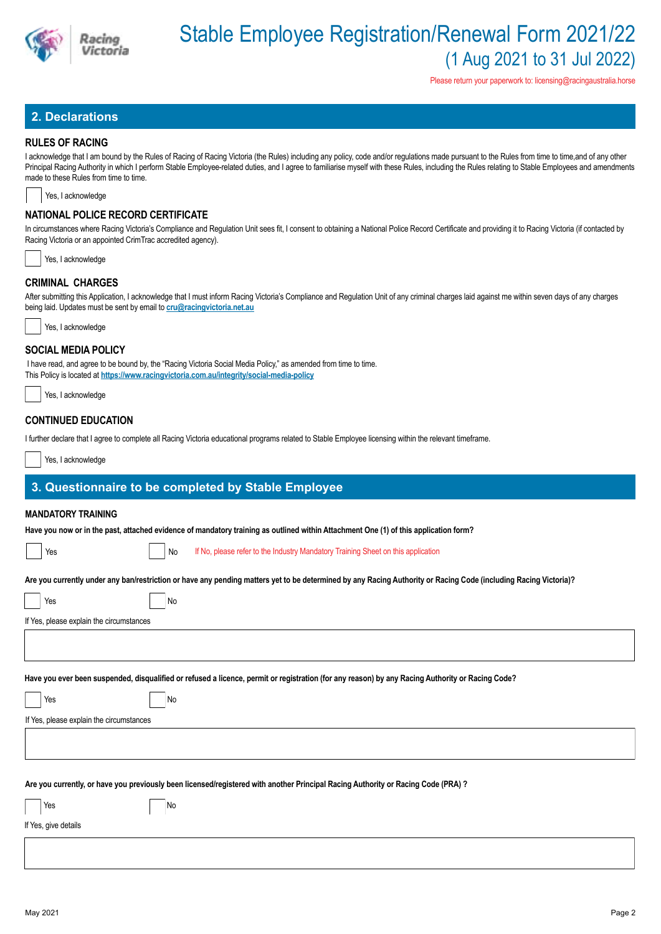

Please return your paperwork to: licensing@racingaustralia.horse

# **2. Declarations**

### **RULES OF RACING**

I acknowledge that I am bound by the Rules of Racing of Racing Victoria (the Rules) including any policy, code and/or regulations made pursuant to the Rules from time to time, and of any other Principal Racing Authority in which I perform Stable Employee-related duties, and I agree to familiarise myself with these Rules, including the Rules relating to Stable Employees and amendments made to these Rules from time to time.

Yes, I acknowledge

### **NATIONAL POLICE RECORD CERTIFICATE**

In circumstances where Racing Victoria's Compliance and Regulation Unit sees fit, I consent to obtaining a National Police Record Certificate and providing it to Racing Victoria (if contacted by Racing Victoria or an appointed CrimTrac accredited agency).

| Yes, I acknowledge |
|--------------------|
|--------------------|

## **CRIMINAL CHARGES**

After submitting this Application, I acknowledge that I must inform Racing Victoria's Compliance and Regulation Unit of any criminal charges laid against me within seven days of any charges being laid. Updates must be sent by email to **cru@racingvictoria.net.au**



#### **SOCIAL MEDIA POLICY**

 I have read, and agree to be bound by, the "Racing Victoria Social Media Policy," as amended from time to time. This Policy is located at **https://www.racingvictoria.com.au/integrity/social-media-policy**

Yes, I acknowledge

# **CONTINUED EDUCATION**

I further declare that I agree to complete all Racing Victoria educational programs related to Stable Employee licensing within the relevant timeframe.

Yes, I acknowledge

# **3. Questionnaire to be completed by Stable Employee**

#### **MANDATORY TRAINING**

**Have you now or in the past, attached evidence of mandatory training as outlined within Attachment One (1) of this application form?**

Yes No If No, please refer to the Industry Mandatory Training Sheet on this application

**Are you currently under any ban/restriction or have any pending matters yet to be determined by any Racing Authority or Racing Code (including Racing Victoria)?**

| Yes                                      | No                                                                                                                                               |
|------------------------------------------|--------------------------------------------------------------------------------------------------------------------------------------------------|
| If Yes, please explain the circumstances |                                                                                                                                                  |
|                                          |                                                                                                                                                  |
|                                          |                                                                                                                                                  |
|                                          | Have you ever been suspended, disqualified or refused a licence, permit or registration (for any reason) by any Racing Authority or Racing Code? |
| Yes                                      | No                                                                                                                                               |
| If Yes, please explain the circumstances |                                                                                                                                                  |
|                                          |                                                                                                                                                  |
|                                          |                                                                                                                                                  |
|                                          |                                                                                                                                                  |
|                                          | Are you currently, or have you previously been licensed/registered with another Principal Racing Authority or Racing Code (PRA) ?                |
| Yes                                      | No                                                                                                                                               |
| If Yes, give details                     |                                                                                                                                                  |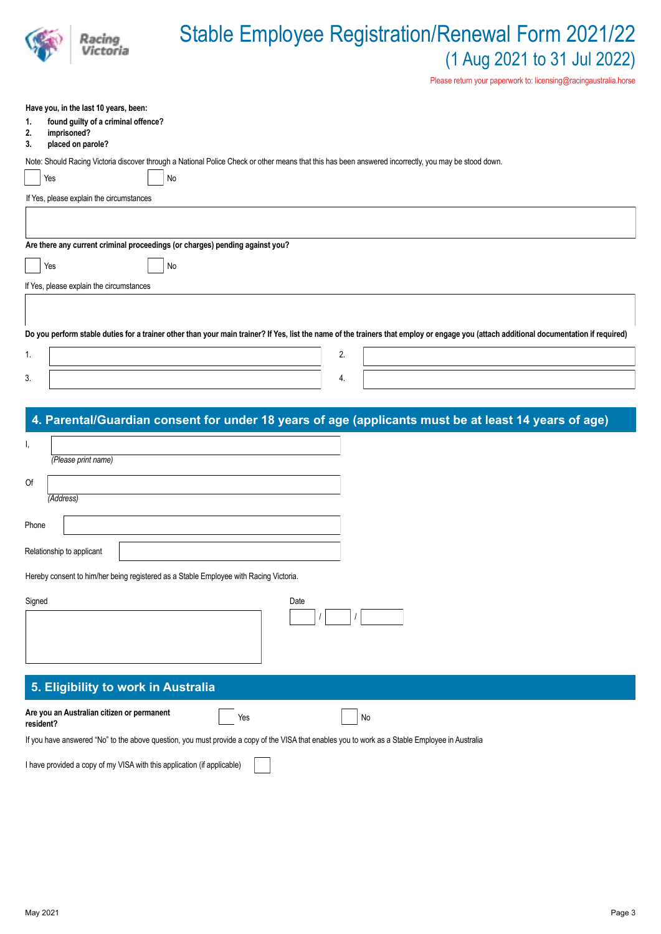|                                                                                           | <b>Stable Employee Registration/Renewal Form 2021/22</b><br>(1 Aug 2021 to 31 Jul 2022)<br>Please return your paperwork to: licensing@racingaustralia.horse                            |
|-------------------------------------------------------------------------------------------|----------------------------------------------------------------------------------------------------------------------------------------------------------------------------------------|
| Have you, in the last 10 years, been:                                                     |                                                                                                                                                                                        |
| found guilty of a criminal offence?<br>1.<br>imprisoned?<br>2.<br>placed on parole?<br>3. |                                                                                                                                                                                        |
|                                                                                           | Note: Should Racing Victoria discover through a National Police Check or other means that this has been answered incorrectly, you may be stood down.                                   |
| Yes                                                                                       | No                                                                                                                                                                                     |
| If Yes, please explain the circumstances                                                  |                                                                                                                                                                                        |
|                                                                                           |                                                                                                                                                                                        |
|                                                                                           |                                                                                                                                                                                        |
| Are there any current criminal proceedings (or charges) pending against you?              |                                                                                                                                                                                        |
| Yes                                                                                       | No                                                                                                                                                                                     |
| If Yes, please explain the circumstances                                                  |                                                                                                                                                                                        |
|                                                                                           |                                                                                                                                                                                        |
|                                                                                           |                                                                                                                                                                                        |
|                                                                                           | Do you perform stable duties for a trainer other than your main trainer? If Yes, list the name of the trainers that employ or engage you (attach additional documentation if required) |
| 1.                                                                                        | 2.                                                                                                                                                                                     |

| 4. Parental/Guardian consent for under 18 years of age (applicants must be at least 14 years of age) |  |
|------------------------------------------------------------------------------------------------------|--|
|                                                                                                      |  |

| ъ,    |                           |  |  |
|-------|---------------------------|--|--|
|       | (Please print name)       |  |  |
| Of    |                           |  |  |
|       | (Address)                 |  |  |
| Phone |                           |  |  |
|       | Relationship to applicant |  |  |

 $3.$  4.

| Hereby consent to him/her being registered as a Stable Employee with Racing Victoria. |  |  |  |  |  |
|---------------------------------------------------------------------------------------|--|--|--|--|--|
|                                                                                       |  |  |  |  |  |

| Signed | Date |
|--------|------|
|        |      |
|        |      |
|        |      |
|        |      |

# **5. Eligibility to work in Australia**

**Are you an Australian citizen or permanent resident?** Yes No

If you have answered "No" to the above question, you must provide a copy of the VISA that enables you to work as a Stable Employee in Australia

I have provided a copy of my VISA with this application (if applicable)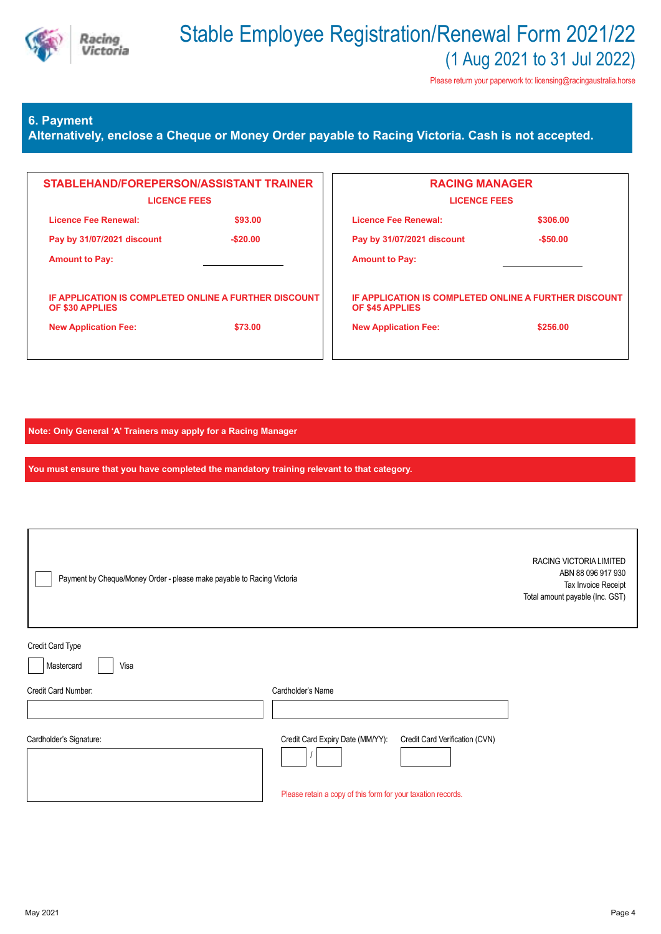

Please return your paperwork to: licensing@racingaustralia.horse

# **6. Payment**

**Alternatively, enclose a Cheque or Money Order payable to Racing Victoria. Cash is not accepted.**

| STABLEHAND/FOREPERSON/ASSISTANT TRAINER<br><b>LICENCE FEES</b>                  |           | <b>RACING MANAGER</b><br><b>LICENCE FEES</b>                             |           |  |
|---------------------------------------------------------------------------------|-----------|--------------------------------------------------------------------------|-----------|--|
| Licence Fee Renewal:                                                            | \$93.00   | Licence Fee Renewal:                                                     | \$306.00  |  |
| Pay by 31/07/2021 discount                                                      | $-$20.00$ | Pay by 31/07/2021 discount                                               | $-$50.00$ |  |
| <b>Amount to Pay:</b>                                                           |           | <b>Amount to Pay:</b>                                                    |           |  |
| <b>IF APPLICATION IS COMPLETED ONLINE A FURTHER DISCOUNT</b><br>OF \$30 APPLIES |           | IF APPLICATION IS COMPLETED ONLINE A FURTHER DISCOUNT<br>OF \$45 APPLIES |           |  |
| <b>New Application Fee:</b>                                                     | \$73.00   | <b>New Application Fee:</b>                                              | \$256.00  |  |
|                                                                                 |           |                                                                          |           |  |

**Note: Only General 'A' Trainers may apply for a Racing Manager**

**You must ensure that you have completed the mandatory training relevant to that category.**

| Payment by Cheque/Money Order - please make payable to Racing Victoria |                                                              |                                | RACING VICTORIA LIMITED<br>ABN 88 096 917 930<br>Tax Invoice Receipt<br>Total amount payable (Inc. GST) |
|------------------------------------------------------------------------|--------------------------------------------------------------|--------------------------------|---------------------------------------------------------------------------------------------------------|
| Credit Card Type<br>Mastercard<br>Visa                                 |                                                              |                                |                                                                                                         |
| Credit Card Number:                                                    | Cardholder's Name                                            |                                |                                                                                                         |
| Cardholder's Signature:                                                | Credit Card Expiry Date (MM/YY):                             | Credit Card Verification (CVN) |                                                                                                         |
|                                                                        | Please retain a copy of this form for your taxation records. |                                |                                                                                                         |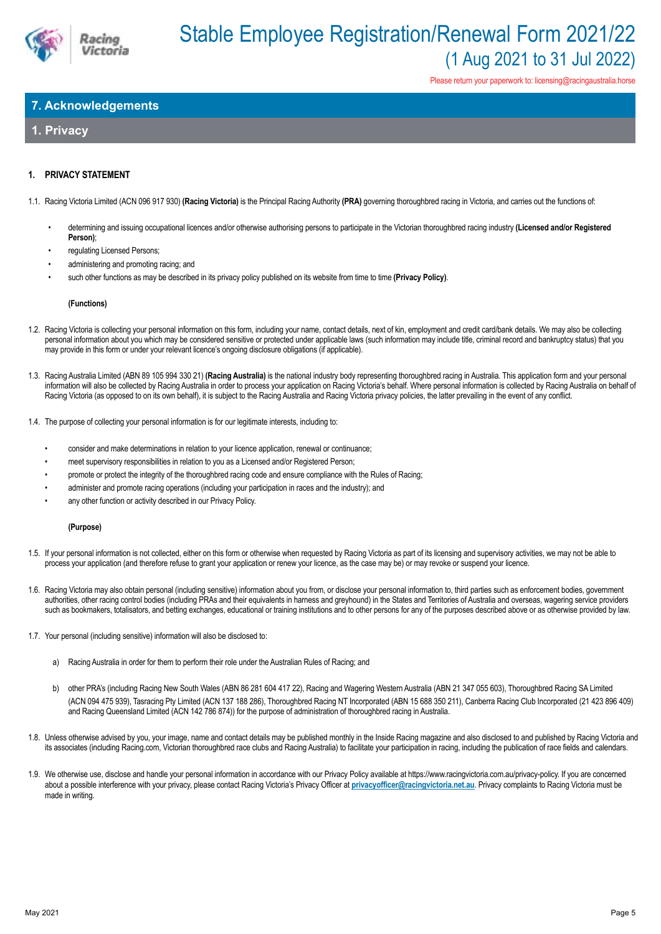

Please return your paperwork to: licensing@racingaustralia.horse

# **7. Acknowledgements**

# **1. Privacy**

## **1. PRIVACY STATEMENT**

1.1. Racing Victoria Limited (ACN 096 917 930) **(Racing Victoria)** is the Principal Racing Authority **(PRA)** governing thoroughbred racing in Victoria, and carries out the functions of:

- determining and issuing occupational licences and/or otherwise authorising persons to participate in the Victorian thoroughbred racing industry **(Licensed and/or Registered Person)**;
- regulating Licensed Persons:
- administering and promoting racing; and
- such other functions as may be described in its privacy policy published on its website from time to time **(Privacy Policy)**.

#### **(Functions)**

- 1.2. Racing Victoria is collecting your personal information on this form, including your name, contact details, next of kin, employment and credit card/bank details. We may also be collecting personal information about you which may be considered sensitive or protected under applicable laws (such information may include title, criminal record and bankruptcy status) that you may provide in this form or under your relevant licence's ongoing disclosure obligations (if applicable).
- 1.3. Racing Australia Limited (ABN 89 105 994 330 21) **(Racing Australia)** is the national industry body representing thoroughbred racing in Australia. This application form and your personal information will also be collected by Racing Australia in order to process your application on Racing Victoria's behalf. Where personal information is collected by Racing Australia on behalf of Racing Victoria (as opposed to on its own behalf), it is subject to the Racing Australia and Racing Victoria privacy policies, the latter prevailing in the event of any conflict.
- 1.4. The purpose of collecting your personal information is for our legitimate interests, including to:
	- consider and make determinations in relation to your licence application, renewal or continuance;
	- meet supervisory responsibilities in relation to you as a Licensed and/or Registered Person;
	- promote or protect the integrity of the thoroughbred racing code and ensure compliance with the Rules of Racing;
	- administer and promote racing operations (including your participation in races and the industry); and
	- any other function or activity described in our Privacy Policy.

#### **(Purpose)**

- 1.5. If your personal information is not collected, either on this form or otherwise when requested by Racing Victoria as part of its licensing and supervisory activities, we may not be able to process your application (and therefore refuse to grant your application or renew your licence, as the case may be) or may revoke or suspend your licence.
- 1.6. Racing Victoria may also obtain personal (including sensitive) information about you from, or disclose your personal information to, third parties such as enforcement bodies, government authorities, other racing control bodies (including PRAs and their equivalents in harness and greyhound) in the States and Territories of Australia and overseas, wagering service providers such as bookmakers, totalisators, and betting exchanges, educational or training institutions and to other persons for any of the purposes described above or as otherwise provided by law.
- 1.7. Your personal (including sensitive) information will also be disclosed to:
	- a) Racing Australia in order for them to perform their role under the Australian Rules of Racing; and
	- b) other PRA's (including Racing New South Wales (ABN 86 281 604 417 22), Racing and Wagering Western Australia (ABN 21 347 055 603), Thoroughbred Racing SA Limited (ACN 094 475 939), Tasracing Pty Limited (ACN 137 188 286), Thoroughbred Racing NT Incorporated (ABN 15 688 350 211), Canberra Racing Club Incorporated (21 423 896 409) and Racing Queensland Limited (ACN 142 786 874)) for the purpose of administration of thoroughbred racing in Australia.
- 1.8. Unless otherwise advised by you, your image, name and contact details may be published monthly in the Inside Racing magazine and also disclosed to and published by Racing Victoria and its associates (including Racing.com, Victorian thoroughbred race clubs and Racing Australia) to facilitate your participation in racing, including the publication of race fields and calendars.
- 1.9. We otherwise use, disclose and handle your personal information in accordance with our Privacy Policy available at https://www.racingvictoria.com.au/privacy-policy. If you are concerned about a possible interference with your privacy, please contact Racing Victoria's Privacy Officer at **privacyofficer@racingvictoria.net.au**. Privacy complaints to Racing Victoria must be made in writing.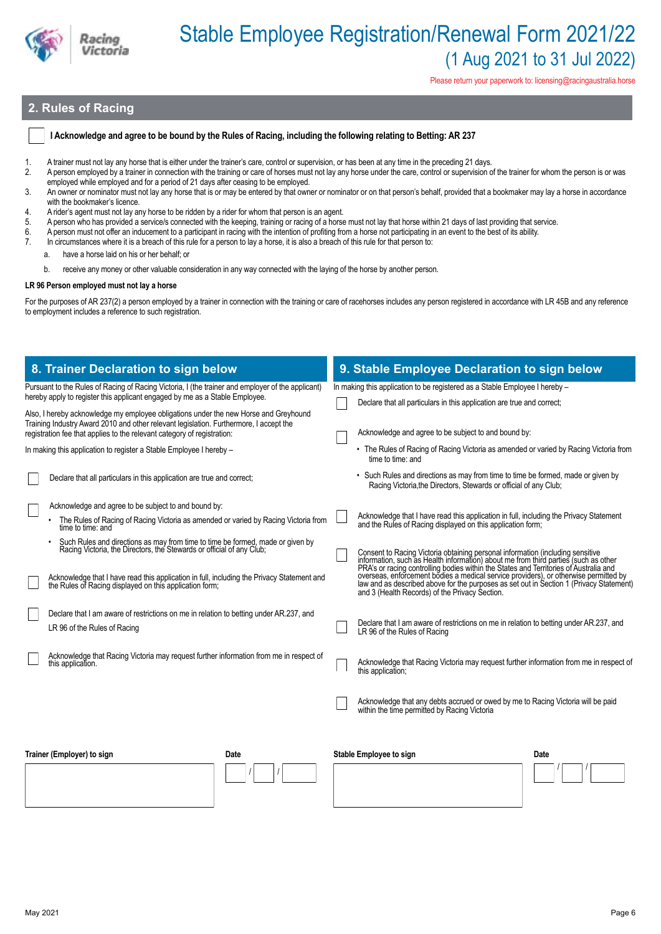

Please return your paperwork to: licensing@racingaustralia.horse

# **2. Rules of Racing**

#### **I Acknowledge and agree to be bound by the Rules of Racing, including the following relating to Betting: AR 237**

- 1. A trainer must not lay any horse that is either under the trainer's care, control or supervision, or has been at any time in the preceding 21 days.
- 2. A person employed by a trainer in connection with the training or care of horses must not lay any horse under the care, control or supervision of the trainer for whom the person is or was employed while employed and for a period of 21 days after ceasing to be employed.
- 3. An owner or nominator must not lay any horse that is or may be entered by that owner or nominator or on that person's behalf, provided that a bookmaker may lay a horse in accordance with the bookmaker's licence.
- 4. A rider's agent must not lay any horse to be ridden by a rider for whom that person is an agent.
- 5. A person who has provided a service/s connected with the keeping, training or racing of a horse must not lay that horse within 21 days of last providing that service.
- 6. A person must not offer an inducement to a participant in racing with the intention of profiting from a horse not participating in an event to the best of its ability.<br>7 In circumstances where it is a breach of this rul
- In circumstances where it is a breach of this rule for a person to lay a horse, it is also a breach of this rule for that person to:
	- a. have a horse laid on his or her behalf; or
- b. receive any money or other valuable consideration in any way connected with the laying of the horse by another person.

#### **LR 96 Person employed must not lay a horse**

For the purposes of AR 237(2) a person employed by a trainer in connection with the training or care of racehorses includes any person registered in accordance with LR 45B and any reference to employment includes a reference to such registration.

| 8. Trainer Declaration to sign below                                                                                                                                                                                                                                                                       | 9. Stable Employee Declaration to sign below                                                                                                                                                                                                                                                                                                                                                                                                                        |  |  |  |
|------------------------------------------------------------------------------------------------------------------------------------------------------------------------------------------------------------------------------------------------------------------------------------------------------------|---------------------------------------------------------------------------------------------------------------------------------------------------------------------------------------------------------------------------------------------------------------------------------------------------------------------------------------------------------------------------------------------------------------------------------------------------------------------|--|--|--|
| Pursuant to the Rules of Racing of Racing Victoria, I (the trainer and employer of the applicant)<br>hereby apply to register this applicant engaged by me as a Stable Employee.                                                                                                                           | In making this application to be registered as a Stable Employee I hereby -<br>Declare that all particulars in this application are true and correct;                                                                                                                                                                                                                                                                                                               |  |  |  |
| Also, I hereby acknowledge my employee obligations under the new Horse and Greyhound<br>Training Industry Award 2010 and other relevant legislation. Furthermore, I accept the<br>registration fee that applies to the relevant category of registration:                                                  | Acknowledge and agree to be subject to and bound by:                                                                                                                                                                                                                                                                                                                                                                                                                |  |  |  |
| In making this application to register a Stable Employee I hereby -                                                                                                                                                                                                                                        | • The Rules of Racing of Racing Victoria as amended or varied by Racing Victoria from<br>time to time: and                                                                                                                                                                                                                                                                                                                                                          |  |  |  |
| Declare that all particulars in this application are true and correct;                                                                                                                                                                                                                                     | • Such Rules and directions as may from time to time be formed, made or given by<br>Racing Victoria, the Directors, Stewards or official of any Club;                                                                                                                                                                                                                                                                                                               |  |  |  |
| Acknowledge and agree to be subject to and bound by:<br>The Rules of Racing of Racing Victoria as amended or varied by Racing Victoria from<br>time to time: and                                                                                                                                           | Acknowledge that I have read this application in full, including the Privacy Statement<br>and the Rules of Racing displayed on this application form;                                                                                                                                                                                                                                                                                                               |  |  |  |
| Such Rules and directions as may from time to time be formed, made or given by Racing Victoria, the Directors, the Stewards or official of any Club;<br>Acknowledge that I have read this application in full, including the Privacy Statement and the Rules of Racing displayed on this application form; | Consent to Racing Victoria obtaining personal information (including sensitive information, such as Health information) about me from third parties (such as other PRA's or racing controlling bodies within the States and Te<br>overseas, enforcement bodies a medical service providers), or otherwise permitted by<br>law and as described above for the purposes as set out in Section 1 (Privacy Statement)<br>and 3 (Health Records) of the Privacy Section. |  |  |  |
| Declare that I am aware of restrictions on me in relation to betting under AR.237, and<br>LR 96 of the Rules of Racing                                                                                                                                                                                     | Declare that I am aware of restrictions on me in relation to betting under AR.237, and<br>LR 96 of the Rules of Racing                                                                                                                                                                                                                                                                                                                                              |  |  |  |
| Acknowledge that Racing Victoria may request further information from me in respect of<br>this application.                                                                                                                                                                                                | Acknowledge that Racing Victoria may request further information from me in respect of<br>this application.                                                                                                                                                                                                                                                                                                                                                         |  |  |  |
|                                                                                                                                                                                                                                                                                                            | Acknowledge that any debts accrued or owed by me to Racing Victoria will be paid<br>within the time permitted by Racing Victoria                                                                                                                                                                                                                                                                                                                                    |  |  |  |
| Trainer (Employer) to sign<br>Date                                                                                                                                                                                                                                                                         | Stable Employee to sign<br>Date                                                                                                                                                                                                                                                                                                                                                                                                                                     |  |  |  |